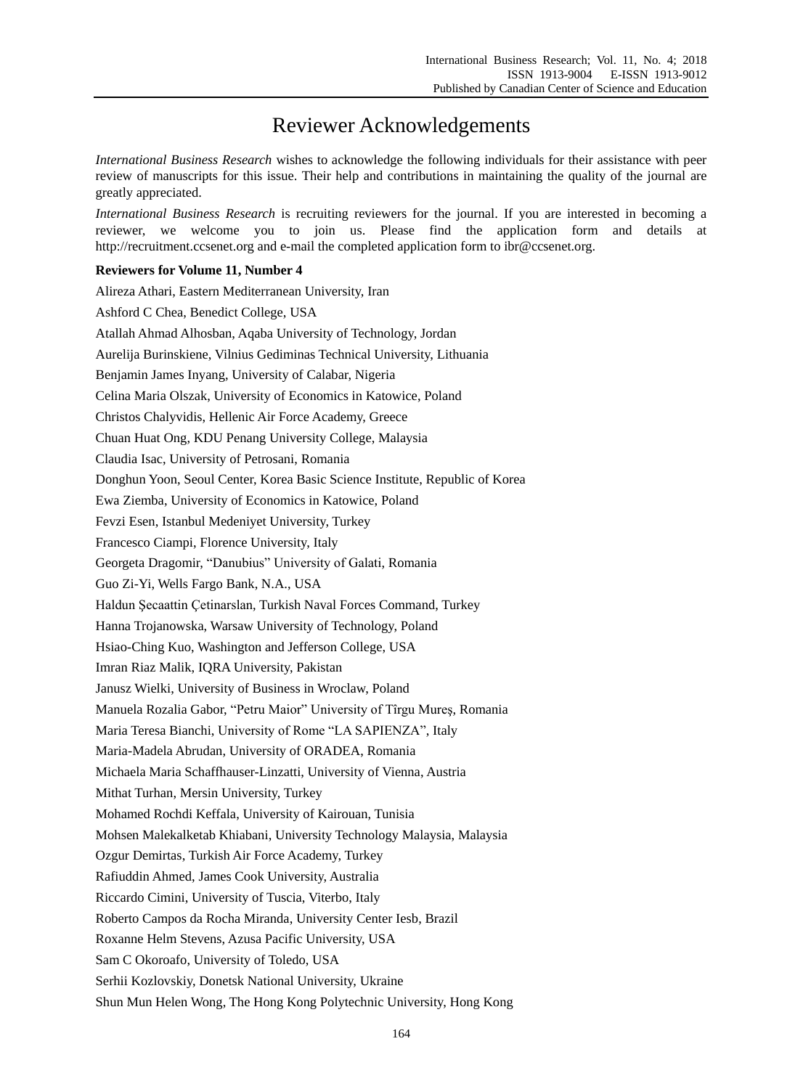## Reviewer Acknowledgements

*International Business Research* wishes to acknowledge the following individuals for their assistance with peer review of manuscripts for this issue. Their help and contributions in maintaining the quality of the journal are greatly appreciated.

*International Business Research* is recruiting reviewers for the journal. If you are interested in becoming a reviewer, we welcome you to join us. Please find the application form and details at http://recruitment.ccsenet.org and e-mail the completed application form to ibr@ccsenet.org.

## **Reviewers for Volume 11, Number 4**

Alireza Athari, Eastern Mediterranean University, Iran Ashford C Chea, Benedict College, USA Atallah Ahmad Alhosban, Aqaba University of Technology, Jordan Aurelija Burinskiene, Vilnius Gediminas Technical University, Lithuania Benjamin James Inyang, University of Calabar, Nigeria Celina Maria Olszak, University of Economics in Katowice, Poland Christos Chalyvidis, Hellenic Air Force Academy, Greece Chuan Huat Ong, KDU Penang University College, Malaysia Claudia Isac, University of Petrosani, Romania Donghun Yoon, Seoul Center, Korea Basic Science Institute, Republic of Korea Ewa Ziemba, University of Economics in Katowice, Poland Fevzi Esen, Istanbul Medeniyet University, Turkey Francesco Ciampi, Florence University, Italy Georgeta Dragomir, "Danubius" University of Galati, Romania Guo Zi-Yi, Wells Fargo Bank, N.A., USA Haldun Şecaattin Çetinarslan, Turkish Naval Forces Command, Turkey Hanna Trojanowska, Warsaw University of Technology, Poland Hsiao-Ching Kuo, Washington and Jefferson College, USA Imran Riaz Malik, IQRA University, Pakistan Janusz Wielki, University of Business in Wroclaw, Poland Manuela Rozalia Gabor, "Petru Maior" University of Tîrgu Mureş, Romania Maria Teresa Bianchi, University of Rome "LA SAPIENZA", Italy Maria-Madela Abrudan, University of ORADEA, Romania Michaela Maria Schaffhauser-Linzatti, University of Vienna, Austria Mithat Turhan, Mersin University, Turkey Mohamed Rochdi Keffala, University of Kairouan, Tunisia Mohsen Malekalketab Khiabani, University Technology Malaysia, Malaysia Ozgur Demirtas, Turkish Air Force Academy, Turkey Rafiuddin Ahmed, James Cook University, Australia Riccardo Cimini, University of Tuscia, Viterbo, Italy Roberto Campos da Rocha Miranda, University Center Iesb, Brazil Roxanne Helm Stevens, Azusa Pacific University, USA Sam C Okoroafo, University of Toledo, USA Serhii Kozlovskiy, Donetsk National University, Ukraine Shun Mun Helen Wong, The Hong Kong Polytechnic University, Hong Kong